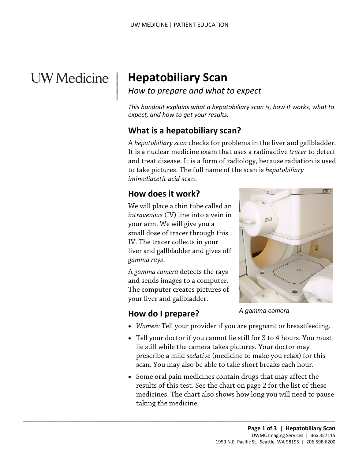# **UW** Medicine

 $\vert$  $\parallel$ 

# | **Hepatobiliary Scan**

#### *How to prepare and what to expect*

*This handout explains what a hepatobiliary scan is, how it works, what to expect, and how to get your results.* 

#### **What is a hepatobiliary scan?**

 A *hepatobiliary scan* checks for problems in the liver and gallbladder. *iminodiacetic acid* scan. and treat disease. It is a form of radiology, because radiation<br>to take pictures. The full name of the scan is *hepatobiliary*<br>*iminodiacetic acid* scan.<br>**How does it work?**<br>We will place a thin tube called an<br>*intravenou* It is a nuclear medicine exam that uses a radioactive *tracer* to detect and treat disease. It is a form of radiology, because radiation is used to take pictures. The full name of the scan is *hepatobiliary* 

### **How does it work?**

We will place a thin tube called an *intravenous* (IV) line into a vein in your arm. We will give you a small dose of tracer through this IV. The tracer collects in your liver and gallbladder and gives off *gamma rays*.

 and sends images to a computer. The computer creates pictures of A *gamma camera* detects the rays your liver and gallbladder.

 $\_$  ,  $\_$  ,  $\_$  ,  $\_$  ,  $\_$  ,  $\_$  ,  $\_$  ,  $\_$  ,  $\_$  ,  $\_$  ,  $\_$  ,  $\_$  ,  $\_$  ,  $\_$  ,  $\_$  ,  $\_$  ,  $\_$  ,  $\_$  ,  $\_$  ,  $\_$  ,  $\_$  ,  $\_$  ,  $\_$  ,  $\_$  ,  $\_$  ,  $\_$  ,  $\_$  ,  $\_$  ,  $\_$  ,  $\_$  ,  $\_$  ,  $\_$  ,  $\_$  ,  $\_$  ,  $\_$  ,  $\_$  ,  $\_$  ,



- **How do I prepare?**
- *Women:* Tell your provider if you are pregnant or breastfeeding.
- • Tell your doctor if you cannot lie still for 3 to 4 hours. You must prescribe a mild *sedative* (medicine to make you relax) for this lie still while the camera takes pictures. Your doctor may scan. You may also be able to take short breaks each hour.
- results of this test. See the chart on page 2 for the list of these taking the medicine. • Some oral pain medicines contain drugs that may affect the medicines. The chart also shows how long you will need to pause **Example 18 Momen: Tell your provider if you are pregnant or b:**<br>Tell your doctor if you cannot lie still for 3 to 4 hou<br>lie still while the camera takes pictures. Your docto<br>prescribe a mild *sedative* (medicine to make y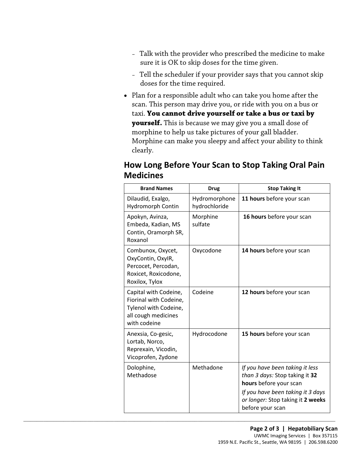- sure it is OK to skip doses for the time given. – Talk with the provider who prescribed the medicine to make
- Tell the scheduler if your provider says that you cannot skip doses for the time required.
- Plan for a responsible adult who can take you home after the scan. This person may drive you, or ride with you on a bus or taxi. **You cannot drive yourself or take a bus or taxi by yourself.** This is because we may give you a small dose of morphine to help us take pictures of your gall bladder. Morphine can make you sleepy and affect your ability to think clearly.

#### **How Long Before Your Scan to Stop Taking Oral Pain Medicines**

| <b>Brand Names</b>                                                                                              | <b>Drug</b>                    | <b>Stop Taking It</b>                                                                                                                                                                     |
|-----------------------------------------------------------------------------------------------------------------|--------------------------------|-------------------------------------------------------------------------------------------------------------------------------------------------------------------------------------------|
| Dilaudid, Exalgo,<br>Hydromorph Contin                                                                          | Hydromorphone<br>hydrochloride | 11 hours before your scan                                                                                                                                                                 |
| Apokyn, Avinza,<br>Embeda, Kadian, MS<br>Contin, Oramorph SR,<br>Roxanol                                        | Morphine<br>sulfate            | 16 hours before your scan                                                                                                                                                                 |
| Combunox, Oxycet,<br>OxyContin, OxylR,<br>Percocet, Percodan,<br>Roxicet, Roxicodone,<br>Roxilox, Tylox         | Oxycodone                      | 14 hours before your scan                                                                                                                                                                 |
| Capital with Codeine,<br>Fiorinal with Codeine,<br>Tylenol with Codeine,<br>all cough medicines<br>with codeine | Codeine                        | 12 hours before your scan                                                                                                                                                                 |
| Anexsia, Co-gesic,<br>Lortab, Norco,<br>Reprexain, Vicodin,<br>Vicoprofen, Zydone                               | Hydrocodone                    | 15 hours before your scan                                                                                                                                                                 |
| Dolophine,<br>Methadose                                                                                         | Methadone                      | If you have been taking it less<br>than 3 days: Stop taking it 32<br>hours before your scan<br>If you have been taking it 3 days<br>or longer: Stop taking it 2 weeks<br>before your scan |

 $\_$  ,  $\_$  ,  $\_$  ,  $\_$  ,  $\_$  ,  $\_$  ,  $\_$  ,  $\_$  ,  $\_$  ,  $\_$  ,  $\_$  ,  $\_$  ,  $\_$  ,  $\_$  ,  $\_$  ,  $\_$  ,  $\_$  ,  $\_$  ,  $\_$  ,  $\_$  ,  $\_$  ,  $\_$  ,  $\_$  ,  $\_$  ,  $\_$  ,  $\_$  ,  $\_$  ,  $\_$  ,  $\_$  ,  $\_$  ,  $\_$  ,  $\_$  ,  $\_$  ,  $\_$  ,  $\_$  ,  $\_$  ,  $\_$  ,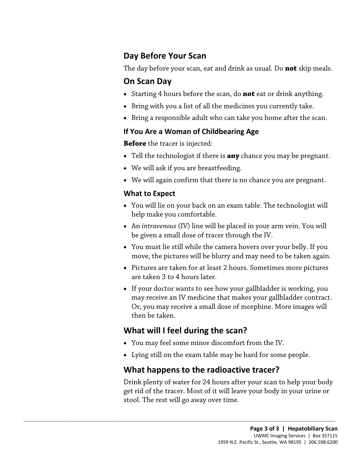#### **Day Before Your Scan**

The day before your scan, eat and drink as usual. Do **not** skip meals.

### **On Scan Day**

- Starting 4 hours before the scan, do **not** eat or drink anything.
- Bring with you a list of all the medicines you currently take.
- Bring a responsible adult who can take you home after the scan.

#### **If You Are a Woman of Childbearing Age**

**Before** the tracer is injected:

- Tell the technologist if there is **any** chance you may be pregnant.
- We will ask if you are breastfeeding.
- We will again confirm that there is no chance you are pregnant.

#### **What to Expect**

- We will ask if you are breastfeeding.<br>• We will again confirm that there is no chance you are pregna:<br>**What to Expect**<br>• You will lie on your back on an exam table. The technologist v<br>help make you comfortable.<br>• An *int* • You will lie on your back on an exam table. The technologist will help make you comfortable.
	- An *intravenous* (IV) line will be placed in your arm vein. You will be given a small dose of tracer through the IV.
	- • You must lie still while the camera hovers over your belly. If you move, the pictures will be blurry and may need to be taken again.
	- • Pictures are taken for at least 2 hours. Sometimes more pictures are taken 3 to 4 hours later.
	- • If your doctor wants to see how your gallbladder is working, you then be taken. may receive an IV medicine that makes your gallbladder contract. Or, you may receive a small dose of morphine. More images will

# **What will I feel during the scan?**

 $\_$  ,  $\_$  ,  $\_$  ,  $\_$  ,  $\_$  ,  $\_$  ,  $\_$  ,  $\_$  ,  $\_$  ,  $\_$  ,  $\_$  ,  $\_$  ,  $\_$  ,  $\_$  ,  $\_$  ,  $\_$  ,  $\_$  ,  $\_$  ,  $\_$  ,  $\_$  ,  $\_$  ,  $\_$  ,  $\_$  ,  $\_$  ,  $\_$  ,  $\_$  ,  $\_$  ,  $\_$  ,  $\_$  ,  $\_$  ,  $\_$  ,  $\_$  ,  $\_$  ,  $\_$  ,  $\_$  ,  $\_$  ,  $\_$  ,

- You may feel some minor discomfort from the IV.
- Lying still on the exam table may be hard for some people.

# **What happens to the radioactive tracer?**

Drink plenty of water for 24 hours after your scan to help your body get rid of the tracer. Most of it will leave your body in your urine or stool. The rest will go away over time.